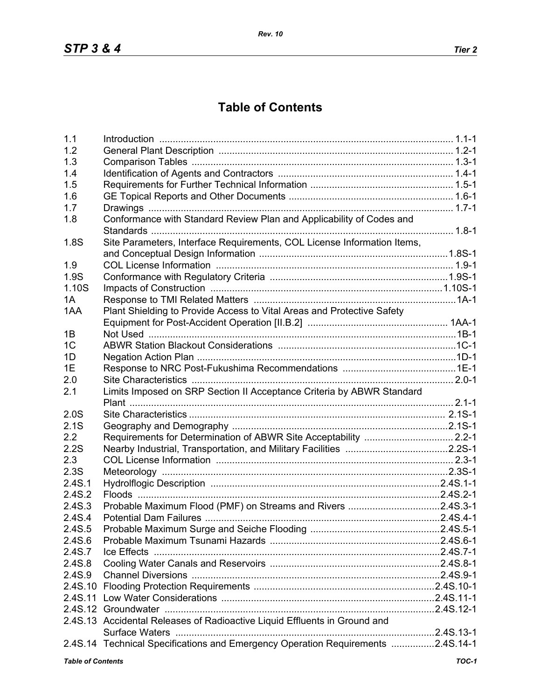## **Table of Contents**

| 1.1                                 |                                                                                 |  |  |
|-------------------------------------|---------------------------------------------------------------------------------|--|--|
| 1.2                                 |                                                                                 |  |  |
| 1.3                                 |                                                                                 |  |  |
| 1.4                                 |                                                                                 |  |  |
| 1.5                                 |                                                                                 |  |  |
| 1.6                                 |                                                                                 |  |  |
| 1.7                                 |                                                                                 |  |  |
| 1.8                                 | Conformance with Standard Review Plan and Applicability of Codes and            |  |  |
|                                     |                                                                                 |  |  |
| 1.8S                                | Site Parameters, Interface Requirements, COL License Information Items,         |  |  |
|                                     |                                                                                 |  |  |
| 1.9                                 |                                                                                 |  |  |
| 1.9S                                |                                                                                 |  |  |
| 1.10S                               |                                                                                 |  |  |
| 1A                                  |                                                                                 |  |  |
| 1AA                                 | Plant Shielding to Provide Access to Vital Areas and Protective Safety          |  |  |
|                                     |                                                                                 |  |  |
| 1B                                  |                                                                                 |  |  |
| 1 <sup>C</sup>                      |                                                                                 |  |  |
| 1D                                  |                                                                                 |  |  |
| 1E                                  |                                                                                 |  |  |
| 2.0                                 |                                                                                 |  |  |
| 2.1                                 | Limits Imposed on SRP Section II Acceptance Criteria by ABWR Standard           |  |  |
|                                     |                                                                                 |  |  |
| 2.0S                                |                                                                                 |  |  |
| 2.1S                                |                                                                                 |  |  |
| 2.2                                 |                                                                                 |  |  |
| 2.2S                                |                                                                                 |  |  |
| 2.3                                 |                                                                                 |  |  |
| 2.3S                                |                                                                                 |  |  |
| 2.4S.1                              |                                                                                 |  |  |
| 2.4S.2                              |                                                                                 |  |  |
| 2.4S.3                              | Probable Maximum Flood (PMF) on Streams and Rivers 2.4S.3-1                     |  |  |
| 2.4S.4                              |                                                                                 |  |  |
| 2.4S.5                              |                                                                                 |  |  |
| 2.4S.6                              |                                                                                 |  |  |
| 2.4S.7                              |                                                                                 |  |  |
| 2.4S.8                              |                                                                                 |  |  |
| 2.4S.9                              |                                                                                 |  |  |
|                                     |                                                                                 |  |  |
|                                     |                                                                                 |  |  |
|                                     |                                                                                 |  |  |
|                                     | 2.4S.13 Accidental Releases of Radioactive Liquid Effluents in Ground and       |  |  |
|                                     |                                                                                 |  |  |
|                                     | 2.4S.14 Technical Specifications and Emergency Operation Requirements 2.4S.14-1 |  |  |
| $TOC-1$<br><b>Table of Contents</b> |                                                                                 |  |  |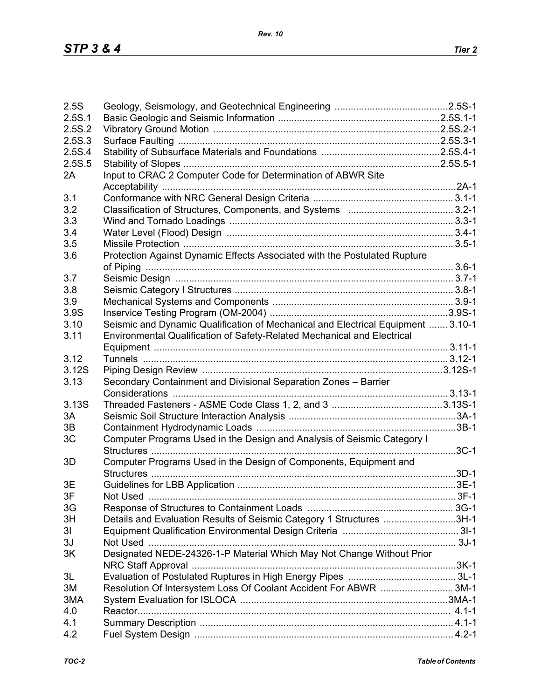| 2.5S           |                                                                                  |  |
|----------------|----------------------------------------------------------------------------------|--|
| 2.5S.1         |                                                                                  |  |
| 2.5S.2         |                                                                                  |  |
| 2.5S.3         |                                                                                  |  |
| 2.5S.4         |                                                                                  |  |
| 2.5S.5         |                                                                                  |  |
| 2A             | Input to CRAC 2 Computer Code for Determination of ABWR Site                     |  |
|                |                                                                                  |  |
| 3.1            |                                                                                  |  |
| 3.2            |                                                                                  |  |
| 3.3            |                                                                                  |  |
|                |                                                                                  |  |
| 3.4            |                                                                                  |  |
| 3.5            |                                                                                  |  |
| 3.6            | Protection Against Dynamic Effects Associated with the Postulated Rupture        |  |
|                |                                                                                  |  |
| 3.7            |                                                                                  |  |
| 3.8            |                                                                                  |  |
| 3.9            |                                                                                  |  |
| 3.9S           |                                                                                  |  |
| 3.10           | Seismic and Dynamic Qualification of Mechanical and Electrical Equipment  3.10-1 |  |
| 3.11           | Environmental Qualification of Safety-Related Mechanical and Electrical          |  |
|                |                                                                                  |  |
| 3.12           |                                                                                  |  |
| 3.12S          |                                                                                  |  |
| 3.13           | Secondary Containment and Divisional Separation Zones - Barrier                  |  |
|                |                                                                                  |  |
| 3.13S          |                                                                                  |  |
|                |                                                                                  |  |
| 3A             |                                                                                  |  |
| 3B             |                                                                                  |  |
| 3C             | Computer Programs Used in the Design and Analysis of Seismic Category I          |  |
|                |                                                                                  |  |
| 3D             | Computer Programs Used in the Design of Components, Equipment and                |  |
|                |                                                                                  |  |
| 3E             |                                                                                  |  |
| 3F             |                                                                                  |  |
| 3G             |                                                                                  |  |
| 3H             | Details and Evaluation Results of Seismic Category 1 Structures 3H-1             |  |
| 3 <sub>l</sub> |                                                                                  |  |
| 3J             |                                                                                  |  |
| 3K             | Designated NEDE-24326-1-P Material Which May Not Change Without Prior            |  |
|                |                                                                                  |  |
| 3L             |                                                                                  |  |
| 3M             | Resolution Of Intersystem Loss Of Coolant Accident For ABWR 3M-1                 |  |
| 3MA            |                                                                                  |  |
| 4.0            |                                                                                  |  |
| 4.1            |                                                                                  |  |
|                |                                                                                  |  |
| 4.2            |                                                                                  |  |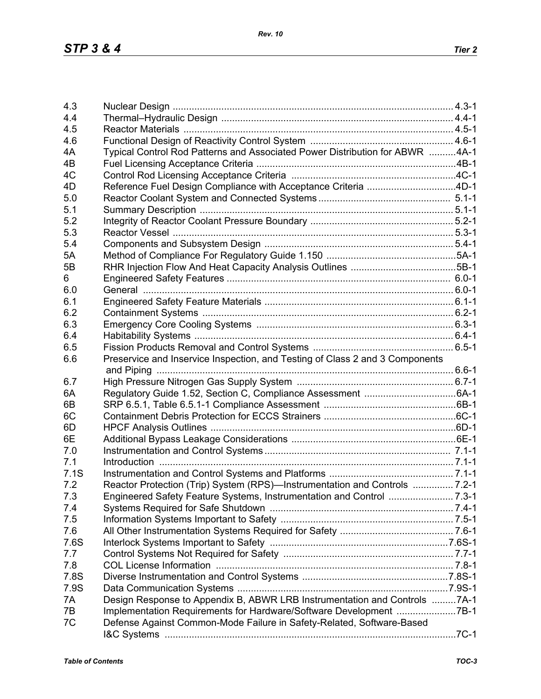| 4.3  |                                                                                                                  |  |
|------|------------------------------------------------------------------------------------------------------------------|--|
|      |                                                                                                                  |  |
| 4.4  |                                                                                                                  |  |
| 4.5  |                                                                                                                  |  |
| 4.6  |                                                                                                                  |  |
| 4A   | Typical Control Rod Patterns and Associated Power Distribution for ABWR 4A-1                                     |  |
| 4B   |                                                                                                                  |  |
| 4C   |                                                                                                                  |  |
| 4D   | Reference Fuel Design Compliance with Acceptance Criteria 4D-1                                                   |  |
| 5.0  |                                                                                                                  |  |
| 5.1  |                                                                                                                  |  |
| 5.2  |                                                                                                                  |  |
| 5.3  |                                                                                                                  |  |
| 5.4  |                                                                                                                  |  |
| 5A   |                                                                                                                  |  |
| 5B   |                                                                                                                  |  |
| 6    |                                                                                                                  |  |
| 6.0  |                                                                                                                  |  |
| 6.1  |                                                                                                                  |  |
|      |                                                                                                                  |  |
| 6.2  |                                                                                                                  |  |
| 6.3  |                                                                                                                  |  |
| 6.4  |                                                                                                                  |  |
| 6.5  |                                                                                                                  |  |
| 6.6  | Preservice and Inservice Inspection, and Testing of Class 2 and 3 Components                                     |  |
|      |                                                                                                                  |  |
| 6.7  |                                                                                                                  |  |
| 6A   |                                                                                                                  |  |
| 6B   |                                                                                                                  |  |
| 6C   |                                                                                                                  |  |
| 6D   |                                                                                                                  |  |
| 6E   |                                                                                                                  |  |
| 7.0  |                                                                                                                  |  |
| 7.1  |                                                                                                                  |  |
| 7.1S |                                                                                                                  |  |
| 7.2  | Reactor Protection (Trip) System (RPS)—Instrumentation and Controls  7.2-1                                       |  |
| 7.3  |                                                                                                                  |  |
| 7.4  |                                                                                                                  |  |
| 7.5  |                                                                                                                  |  |
| 7.6  |                                                                                                                  |  |
|      |                                                                                                                  |  |
| 7.6S |                                                                                                                  |  |
| 7.7  |                                                                                                                  |  |
| 7.8  | 7.8-1. 7.8-1 . The Director School of the University of the University of the University ODL License Information |  |
| 7.8S |                                                                                                                  |  |
| 7.9S |                                                                                                                  |  |
| 7A   | Design Response to Appendix B, ABWR LRB Instrumentation and Controls 7A-1                                        |  |
| 7B   | Implementation Requirements for Hardware/Software Development 7B-1                                               |  |
| 7C   | Defense Against Common-Mode Failure in Safety-Related, Software-Based                                            |  |
|      |                                                                                                                  |  |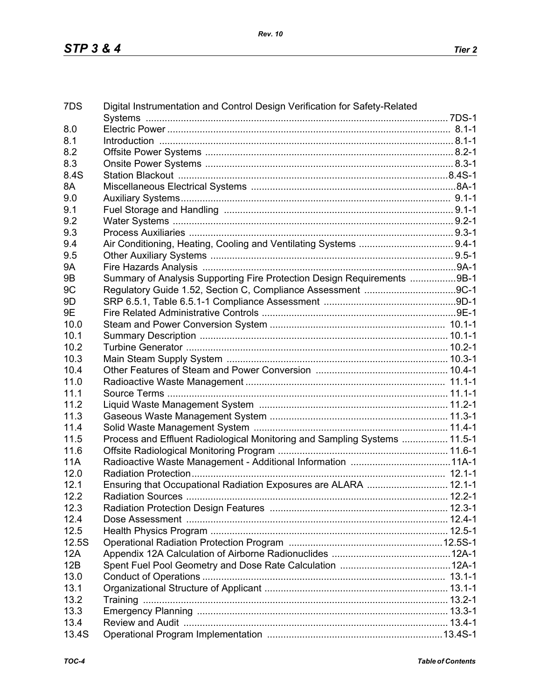| 7DS        | Digital Instrumentation and Control Design Verification for Safety-Related                           |  |
|------------|------------------------------------------------------------------------------------------------------|--|
|            |                                                                                                      |  |
| 8.0        |                                                                                                      |  |
| 8.1        | 1-1-1. B.1-1. B.1-1. B.1-1. B.1-1. B.1-1. B.1-1. B.1-1. B.1-1. B.1-1. B.1-1. B.1-1. B.1-1. B.1-1. B. |  |
| 8.2        |                                                                                                      |  |
| 8.3        |                                                                                                      |  |
| 8.4S       |                                                                                                      |  |
| 8A         |                                                                                                      |  |
| 9.0        |                                                                                                      |  |
| 9.1        |                                                                                                      |  |
| 9.2        |                                                                                                      |  |
| 9.3        |                                                                                                      |  |
| 9.4        |                                                                                                      |  |
| 9.5        |                                                                                                      |  |
| <b>9A</b>  |                                                                                                      |  |
| 9B         | Summary of Analysis Supporting Fire Protection Design Requirements 9B-1                              |  |
| 9C         |                                                                                                      |  |
| 9D         |                                                                                                      |  |
| 9E         |                                                                                                      |  |
| 10.0       |                                                                                                      |  |
| 10.1       |                                                                                                      |  |
| 10.2       |                                                                                                      |  |
| 10.3       |                                                                                                      |  |
| 10.4       |                                                                                                      |  |
| 11.0       |                                                                                                      |  |
| 11.1       |                                                                                                      |  |
| 11.2       |                                                                                                      |  |
| 11.3       |                                                                                                      |  |
| 11.4       |                                                                                                      |  |
| 11.5       | Process and Effluent Radiological Monitoring and Sampling Systems  11.5-1                            |  |
| 11.6       |                                                                                                      |  |
| <b>11A</b> |                                                                                                      |  |
| 12.0       |                                                                                                      |  |
| 12.1       | Ensuring that Occupational Radiation Exposures are ALARA  12.1-1                                     |  |
| 12.2       |                                                                                                      |  |
| 12.3       |                                                                                                      |  |
| 12.4       |                                                                                                      |  |
| 12.5       |                                                                                                      |  |
| 12.5S      |                                                                                                      |  |
| 12A        |                                                                                                      |  |
| 12B        |                                                                                                      |  |
| 13.0       |                                                                                                      |  |
| 13.1       |                                                                                                      |  |
| 13.2       |                                                                                                      |  |
| 13.3       |                                                                                                      |  |
| 13.4       |                                                                                                      |  |
| 13.4S      |                                                                                                      |  |
|            |                                                                                                      |  |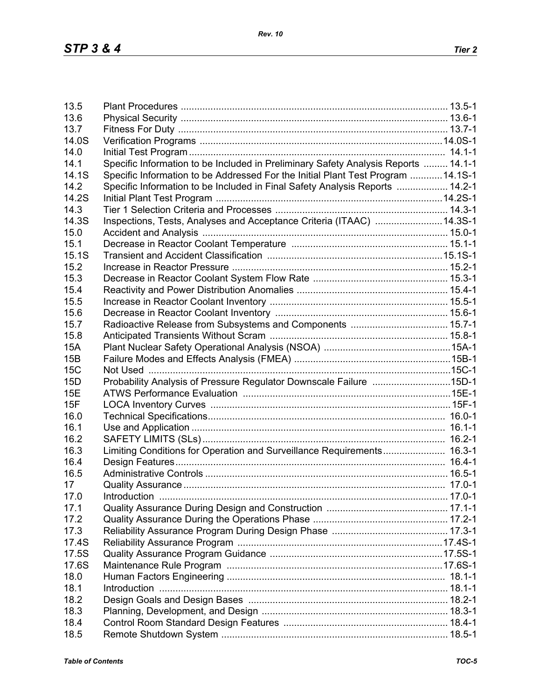| 13.5            |                                                                                    |  |
|-----------------|------------------------------------------------------------------------------------|--|
| 13.6            |                                                                                    |  |
| 13.7            |                                                                                    |  |
| 14.0S           |                                                                                    |  |
| 14.0            |                                                                                    |  |
| 14.1            | Specific Information to be Included in Preliminary Safety Analysis Reports  14.1-1 |  |
| 14.1S           | Specific Information to be Addressed For the Initial Plant Test Program  14.1S-1   |  |
| 14.2            | Specific Information to be Included in Final Safety Analysis Reports  14.2-1       |  |
| 14.2S           |                                                                                    |  |
| 14.3            |                                                                                    |  |
| 14.3S           | Inspections, Tests, Analyses and Acceptance Criteria (ITAAC) 14.3S-1               |  |
| 15.0            |                                                                                    |  |
| 15.1            |                                                                                    |  |
| 15.1S           |                                                                                    |  |
| 15.2            |                                                                                    |  |
| 15.3            |                                                                                    |  |
| 15.4            |                                                                                    |  |
| 15.5            |                                                                                    |  |
| 15.6            |                                                                                    |  |
| 15.7            |                                                                                    |  |
| 15.8            |                                                                                    |  |
| <b>15A</b>      |                                                                                    |  |
| 15B             |                                                                                    |  |
| <b>15C</b>      |                                                                                    |  |
| 15 <sub>D</sub> | Probability Analysis of Pressure Regulator Downscale Failure 15D-1                 |  |
| 15E             |                                                                                    |  |
| 15F             |                                                                                    |  |
| 16.0            |                                                                                    |  |
| 16.1            |                                                                                    |  |
| 16.2            |                                                                                    |  |
| 16.3            | Limiting Conditions for Operation and Surveillance Requirements 16.3-1             |  |
| 16.4            |                                                                                    |  |
| 16.5            |                                                                                    |  |
| 17              |                                                                                    |  |
| 17.0            |                                                                                    |  |
| 17.1            |                                                                                    |  |
| 17.2            |                                                                                    |  |
| 17.3            |                                                                                    |  |
| 17.4S           |                                                                                    |  |
| 17.5S           |                                                                                    |  |
| 17.6S           |                                                                                    |  |
| 18.0            |                                                                                    |  |
| 18.1            |                                                                                    |  |
| 18.2            |                                                                                    |  |
| 18.3            |                                                                                    |  |
| 18.4            |                                                                                    |  |
| 18.5            |                                                                                    |  |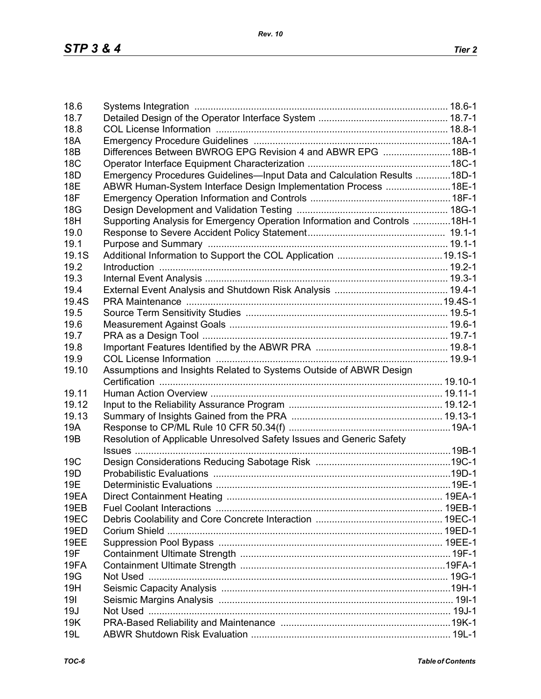| 18.6            |                                                                            |  |
|-----------------|----------------------------------------------------------------------------|--|
| 18.7            |                                                                            |  |
| 18.8            |                                                                            |  |
| <b>18A</b>      |                                                                            |  |
| <b>18B</b>      | Differences Between BWROG EPG Revision 4 and ABWR EPG 18B-1                |  |
| <b>18C</b>      |                                                                            |  |
| 18 <sub>D</sub> | Emergency Procedures Guidelines-Input Data and Calculation Results 18D-1   |  |
| <b>18E</b>      |                                                                            |  |
|                 | ABWR Human-System Interface Design Implementation Process 18E-1            |  |
| <b>18F</b>      |                                                                            |  |
| 18G             |                                                                            |  |
| 18H             | Supporting Analysis for Emergency Operation Information and Controls 18H-1 |  |
| 19.0            |                                                                            |  |
| 19.1            |                                                                            |  |
| 19.1S           |                                                                            |  |
| 19.2            |                                                                            |  |
| 19.3            |                                                                            |  |
| 19.4            |                                                                            |  |
|                 |                                                                            |  |
| 19.4S           |                                                                            |  |
| 19.5            |                                                                            |  |
| 19.6            |                                                                            |  |
| 19.7            |                                                                            |  |
| 19.8            |                                                                            |  |
| 19.9            |                                                                            |  |
| 19.10           | Assumptions and Insights Related to Systems Outside of ABWR Design         |  |
|                 |                                                                            |  |
| 19.11           |                                                                            |  |
|                 |                                                                            |  |
| 19.12           |                                                                            |  |
| 19.13           |                                                                            |  |
| 19A             |                                                                            |  |
| 19 <sub>B</sub> | Resolution of Applicable Unresolved Safety Issues and Generic Safety       |  |
|                 |                                                                            |  |
| 19 <sub>C</sub> |                                                                            |  |
| 19 <sub>D</sub> |                                                                            |  |
| 19E             |                                                                            |  |
| 19EA            |                                                                            |  |
| 19EB            |                                                                            |  |
|                 |                                                                            |  |
| 19EC            |                                                                            |  |
| <b>19ED</b>     |                                                                            |  |
| 19EE            |                                                                            |  |
| 19F             |                                                                            |  |
| 19FA            |                                                                            |  |
| 19G             |                                                                            |  |
| 19H             |                                                                            |  |
| 191             |                                                                            |  |
| 19J             |                                                                            |  |
|                 |                                                                            |  |
| 19K             |                                                                            |  |
| 19L             |                                                                            |  |